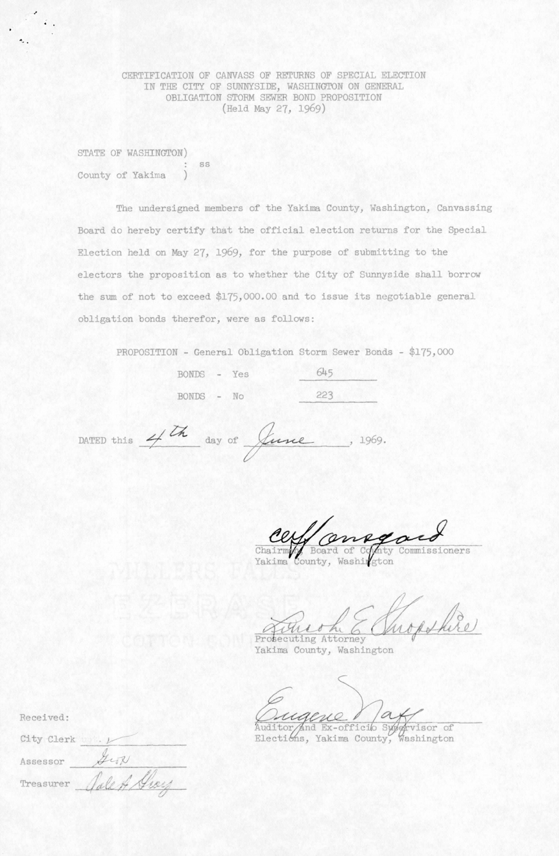CERTIFICATION OF CANVASS OF RETURNS OF SPECIAL ELECTION IN THE CITY OF SUNNYSIDE, WASHINGTON ON GENERAL OBLIGATION STORM SEWER BOND PROPOSITION (Held May 27, 1969)

STATE OF WASHINGTON) SS County of Yakima

The undersigned members of the Yakima County, Washington, Canvassing Board do hereby certify that the official election returns for the Special Election held on May 27, 1969, for the purpose of submitting to the electors the proposition as to whether the City of Sunnyside shall borrow the sum of not to exceed \$175,000.00 and to issue its negotiable general obligation bonds therefor, were as follows:

PROPOSITION - General Obligation Storm Sewer Bonds - \$175,000

| BONDS - Yes |  | 645 |
|-------------|--|-----|
| BONDS - No  |  | 223 |

DATED this  $4/\sqrt{h}$  day of  $\int u$ ne, 1969.

oners

Chairman, Board of Conn<br>Yakima County, Washirgt

hopshire mio Prosecuting Attorney

Yakima County, Washington

ACUC 1<br>And Ex-officio Syngwisor of Elections, Yakima County,

Received:

|  | City Clerk und. L |
|--|-------------------|
|  |                   |

Assessor

Treasurer